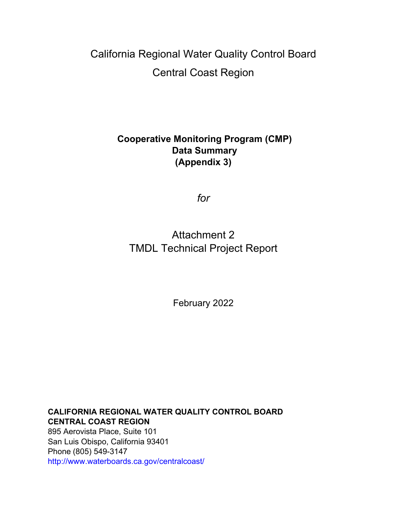## California Regional Water Quality Control Board Central Coast Region

## **Cooperative Monitoring Program (CMP) Data Summary (Appendix 3)**

*for*

## Attachment 2 TMDL Technical Project Report

February 2022

**CALIFORNIA REGIONAL WATER QUALITY CONTROL BOARD CENTRAL COAST REGION** 895 Aerovista Place, Suite 101 San Luis Obispo, California 93401 Phone (805) 549-3147 http://www.waterboards.ca.gov/centralcoast/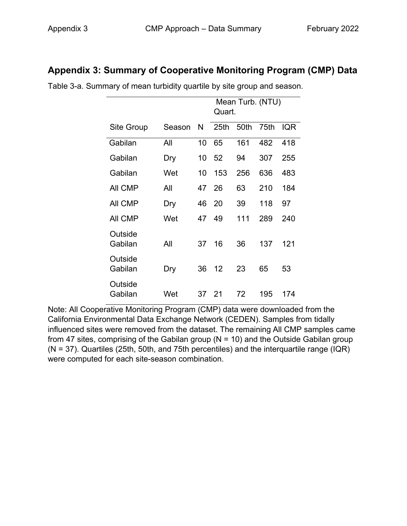## **Appendix 3: Summary of Cooperative Monitoring Program (CMP) Data**

|                    |        |    | Mean Turb. (NTU)<br>Quart. |      |      |            |  |
|--------------------|--------|----|----------------------------|------|------|------------|--|
| Site Group         | Season | N  | 25th                       | 50th | 75th | <b>IQR</b> |  |
| Gabilan            | All    | 10 | 65                         | 161  | 482  | 418        |  |
| Gabilan            | Dry    | 10 | 52                         | 94   | 307  | 255        |  |
| Gabilan            | Wet    | 10 | 153                        | 256  | 636  | 483        |  |
| All CMP            | All    | 47 | 26                         | 63   | 210  | 184        |  |
| All CMP            | Dry    | 46 | 20                         | 39   | 118  | 97         |  |
| <b>AII CMP</b>     | Wet    | 47 | 49                         | 111  | 289  | 240        |  |
| Outside<br>Gabilan | All    | 37 | 16                         | 36   | 137  | 121        |  |
| Outside<br>Gabilan | Dry    | 36 | 12                         | 23   | 65   | 53         |  |
| Outside<br>Gabilan | Wet    | 37 | 21                         | 72   | 195  | 174        |  |

Table 3-a. Summary of mean turbidity quartile by site group and season.

Note: All Cooperative Monitoring Program (CMP) data were downloaded from the California Environmental Data Exchange Network (CEDEN). Samples from tidally influenced sites were removed from the dataset. The remaining All CMP samples came from 47 sites, comprising of the Gabilan group ( $N = 10$ ) and the Outside Gabilan group (N = 37). Quartiles (25th, 50th, and 75th percentiles) and the interquartile range (IQR) were computed for each site-season combination.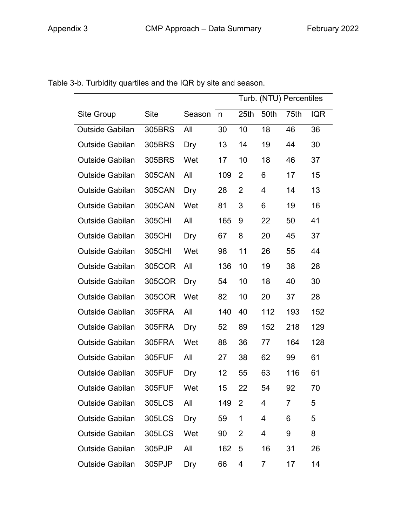|                        | Turb. (NTU) Percentiles |        |                  |      |      |      |            |
|------------------------|-------------------------|--------|------------------|------|------|------|------------|
| <b>Site Group</b>      | <b>Site</b>             | Season | $\mathsf{n}$     | 25th | 50th | 75th | <b>IQR</b> |
| <b>Outside Gabilan</b> | 305BRS                  | All    | 30               | 10   | 18   | 46   | 36         |
| <b>Outside Gabilan</b> | 305BRS                  | Dry    | 13               | 14   | 19   | 44   | 30         |
| <b>Outside Gabilan</b> | 305BRS                  | Wet    | 17               | 10   | 18   | 46   | 37         |
| <b>Outside Gabilan</b> | <b>305CAN</b>           | All    | 109              | 2    | 6    | 17   | 15         |
| <b>Outside Gabilan</b> | <b>305CAN</b>           | Dry    | 28               | 2    | 4    | 14   | 13         |
| <b>Outside Gabilan</b> | 305CAN                  | Wet    | 81               | 3    | 6    | 19   | 16         |
| <b>Outside Gabilan</b> | 305CHI                  | All    | 165              | 9    | 22   | 50   | 41         |
| <b>Outside Gabilan</b> | 305CHI                  | Dry    | 67               | 8    | 20   | 45   | 37         |
| <b>Outside Gabilan</b> | 305CHI                  | Wet    | 98               | 11   | 26   | 55   | 44         |
| <b>Outside Gabilan</b> | 305COR                  | All    | 136              | 10   | 19   | 38   | 28         |
| <b>Outside Gabilan</b> | 305COR                  | Dry    | 54               | 10   | 18   | 40   | 30         |
| <b>Outside Gabilan</b> | 305COR                  | Wet    | 82               | 10   | 20   | 37   | 28         |
| <b>Outside Gabilan</b> | 305FRA                  | All    | 140              | 40   | 112  | 193  | 152        |
| <b>Outside Gabilan</b> | 305FRA                  | Dry    | 52               | 89   | 152  | 218  | 129        |
| <b>Outside Gabilan</b> | 305FRA                  | Wet    | 88               | 36   | 77   | 164  | 128        |
| Outside Gabilan        | 305FUF                  | All    | 27               | 38   | 62   | 99   | 61         |
| <b>Outside Gabilan</b> | 305FUF                  | Dry    | 12 <sub>2</sub>  | 55   | 63   | 116  | 61         |
| Outside Gabilan        | 305FUF                  | Wet    | 15 <sub>15</sub> | 22   | 54   | 92   | 70         |
| <b>Outside Gabilan</b> | 305LCS                  | All    | 149              | 2    | 4    | 7    | 5          |
| <b>Outside Gabilan</b> | 305LCS                  | Dry    | 59               | 1    | 4    | 6    | 5          |
| <b>Outside Gabilan</b> | 305LCS                  | Wet    | 90               | 2    | 4    | 9    | 8          |
| <b>Outside Gabilan</b> | 305PJP                  | All    | 162              | 5    | 16   | 31   | 26         |
| <b>Outside Gabilan</b> | 305PJP                  | Dry    | 66               | 4    | 7    | 17   | 14         |

Table 3-b. Turbidity quartiles and the IQR by site and season.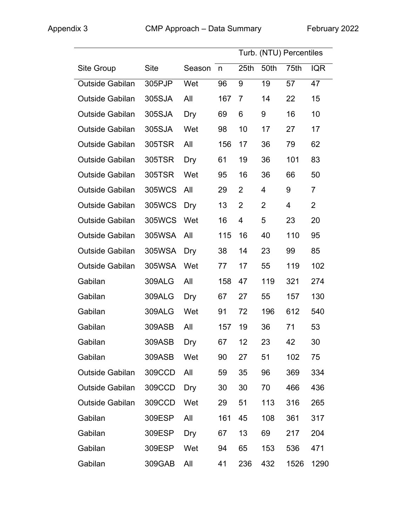|                        |               |        |     | Turb. (NTU) Percentiles |                |      |                |
|------------------------|---------------|--------|-----|-------------------------|----------------|------|----------------|
| <b>Site Group</b>      | <b>Site</b>   | Season | n   | 25 <sub>th</sub>        | 50th           | 75th | <b>IQR</b>     |
| Outside Gabilan        | 305PJP        | Wet    | 96  | 9                       | 19             | 57   | 47             |
| <b>Outside Gabilan</b> | 305SJA        | All    | 167 | $\overline{7}$          | 14             | 22   | 15             |
| <b>Outside Gabilan</b> | 305SJA        | Dry    | 69  | 6                       | 9              | 16   | 10             |
| <b>Outside Gabilan</b> | 305SJA        | Wet    | 98  | 10                      | 17             | 27   | 17             |
| <b>Outside Gabilan</b> | 305TSR        | All    | 156 | 17                      | 36             | 79   | 62             |
| <b>Outside Gabilan</b> | 305TSR        | Dry    | 61  | 19                      | 36             | 101  | 83             |
| <b>Outside Gabilan</b> | 305TSR        | Wet    | 95  | 16                      | 36             | 66   | 50             |
| <b>Outside Gabilan</b> | 305WCS        | All    | 29  | 2                       | 4              | 9    | $\overline{7}$ |
| <b>Outside Gabilan</b> | 305WCS        | Dry    | 13  | $\overline{2}$          | $\overline{2}$ | 4    | $\overline{2}$ |
| <b>Outside Gabilan</b> | 305WCS        | Wet    | 16  | 4                       | 5              | 23   | 20             |
| <b>Outside Gabilan</b> | 305WSA        | All    | 115 | 16                      | 40             | 110  | 95             |
| <b>Outside Gabilan</b> | 305WSA        | Dry    | 38  | 14                      | 23             | 99   | 85             |
| <b>Outside Gabilan</b> | 305WSA        | Wet    | 77  | 17                      | 55             | 119  | 102            |
| Gabilan                | <b>309ALG</b> | All    | 158 | 47                      | 119            | 321  | 274            |
| Gabilan                | <b>309ALG</b> | Dry    | 67  | 27                      | 55             | 157  | 130            |
| Gabilan                | <b>309ALG</b> | Wet    | 91  | 72                      | 196            | 612  | 540            |
| Gabilan                | 309ASB        | All    | 157 | 19                      | 36             | 71   | 53             |
| Gabilan                | 309ASB Dry    |        | 67  | 12 <sup>7</sup>         | 23             | 42   | 30             |
| Gabilan                | 309ASB        | Wet    | 90  | 27                      | 51             | 102  | 75             |
| <b>Outside Gabilan</b> | 309CCD        | All    | 59  | 35                      | 96             | 369  | 334            |
| <b>Outside Gabilan</b> | 309CCD        | Dry    | 30  | 30                      | 70             | 466  | 436            |
| <b>Outside Gabilan</b> | 309CCD        | Wet    | 29  | 51                      | 113            | 316  | 265            |
| Gabilan                | 309ESP        | All    | 161 | 45                      | 108            | 361  | 317            |
| Gabilan                | 309ESP        | Dry    | 67  | 13                      | 69             | 217  | 204            |
| Gabilan                | 309ESP        | Wet    | 94  | 65                      | 153            | 536  | 471            |
| Gabilan                | 309GAB        | All    | 41  | 236                     | 432            | 1526 | 1290           |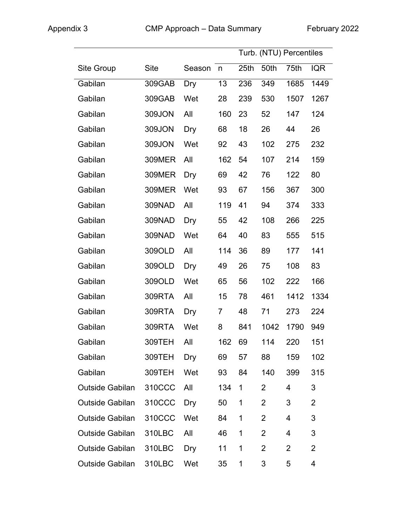|                        |               |        |                |      | Turb. (NTU) Percentiles |      |                |
|------------------------|---------------|--------|----------------|------|-------------------------|------|----------------|
| <b>Site Group</b>      | <b>Site</b>   | Season | $\mathsf{n}$   | 25th | 50th                    | 75th | <b>IQR</b>     |
| Gabilan                | 309GAB        | Dry    | 13             | 236  | 349                     | 1685 | 1449           |
| Gabilan                | 309GAB        | Wet    | 28             | 239  | 530                     | 1507 | 1267           |
| Gabilan                | 309JON        | All    | 160            | 23   | 52                      | 147  | 124            |
| Gabilan                | 309JON        | Dry    | 68             | 18   | 26                      | 44   | 26             |
| Gabilan                | 309JON        | Wet    | 92             | 43   | 102                     | 275  | 232            |
| Gabilan                | <b>309MER</b> | All    | 162            | 54   | 107                     | 214  | 159            |
| Gabilan                | 309MER        | Dry    | 69             | 42   | 76                      | 122  | 80             |
| Gabilan                | <b>309MER</b> | Wet    | 93             | 67   | 156                     | 367  | 300            |
| Gabilan                | 309NAD        | All    | 119            | 41   | 94                      | 374  | 333            |
| Gabilan                | 309NAD        | Dry    | 55             | 42   | 108                     | 266  | 225            |
| Gabilan                | 309NAD        | Wet    | 64             | 40   | 83                      | 555  | 515            |
| Gabilan                | 309OLD        | All    | 114            | 36   | 89                      | 177  | 141            |
| Gabilan                | 309OLD        | Dry    | 49             | 26   | 75                      | 108  | 83             |
| Gabilan                | 309OLD        | Wet    | 65             | 56   | 102                     | 222  | 166            |
| Gabilan                | 309RTA        | All    | 15             | 78   | 461                     | 1412 | 1334           |
| Gabilan                | 309RTA        | Dry    | $\overline{7}$ | 48   | 71                      | 273  | 224            |
| Gabilan                | 309RTA        | Wet    | 8              | 841  | 1042                    | 1790 | 949            |
| Gabilan                | 309TEH        | All    | 162            | 69   | 114                     | 220  | 151            |
| Gabilan                | 309TEH        | Dry    | 69             | 57   | 88                      | 159  | 102            |
| Gabilan                | 309TEH        | Wet    | 93             | 84   | 140                     | 399  | 315            |
| <b>Outside Gabilan</b> | 310CCC        | All    | 134            | 1    | 2                       | 4    | 3              |
| <b>Outside Gabilan</b> | 310CCC        | Dry    | 50             | 1    | 2                       | 3    | $\overline{2}$ |
| <b>Outside Gabilan</b> | 310CCC        | Wet    | 84             | 1    | $\overline{2}$          | 4    | 3              |
| <b>Outside Gabilan</b> | 310LBC        | All    | 46             | 1    | $\overline{2}$          | 4    | 3              |
| <b>Outside Gabilan</b> | 310LBC        | Dry    | 11             | 1    | $\overline{2}$          | 2    | $\overline{2}$ |
| <b>Outside Gabilan</b> | 310LBC        | Wet    | 35             | 1    | 3                       | 5    | 4              |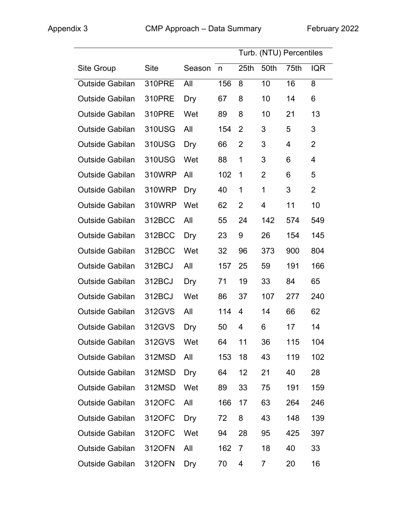|                        | Turb. (NTU) Percentiles |            |     |                  |             |      |                |
|------------------------|-------------------------|------------|-----|------------------|-------------|------|----------------|
| Site Group             | <b>Site</b>             | Season     | n   | 25 <sub>th</sub> | 50th        | 75th | <b>IQR</b>     |
| <b>Outside Gabilan</b> | 310PRE                  | All        | 156 | 8                | 10          | 16   | 8              |
| <b>Outside Gabilan</b> | 310PRE                  | Dry        | 67  | 8                | 10          | 14   | 6              |
| <b>Outside Gabilan</b> | 310PRE                  | Wet        | 89  | 8                | 10          | 21   | 13             |
| <b>Outside Gabilan</b> | 310USG                  | All        | 154 | 2                | 3           | 5    | 3              |
| <b>Outside Gabilan</b> | 310USG                  | Dry        | 66  | $\overline{2}$   | 3           | 4    | $\overline{2}$ |
| <b>Outside Gabilan</b> | 310USG                  | Wet        | 88  | 1                | 3           | 6    | 4              |
| <b>Outside Gabilan</b> | 310WRP                  | All        | 102 | $\mathbf 1$      | 2           | 6    | 5              |
| <b>Outside Gabilan</b> | 310WRP                  | Dry        | 40  | $\mathbf{1}$     | $\mathbf 1$ | 3    | $\overline{2}$ |
| <b>Outside Gabilan</b> | 310WRP                  | Wet        | 62  | $\overline{2}$   | 4           | 11   | 10             |
| <b>Outside Gabilan</b> | 312BCC                  | All        | 55  | 24               | 142         | 574  | 549            |
| <b>Outside Gabilan</b> | 312BCC                  | Dry        | 23  | 9                | 26          | 154  | 145            |
| <b>Outside Gabilan</b> | 312BCC                  | Wet        | 32  | 96               | 373         | 900  | 804            |
| <b>Outside Gabilan</b> | 312BCJ                  | All        | 157 | 25               | 59          | 191  | 166            |
| <b>Outside Gabilan</b> | 312BCJ                  | Dry        | 71  | 19               | 33          | 84   | 65             |
| <b>Outside Gabilan</b> | 312BCJ                  | Wet        | 86  | 37               | 107         | 277  | 240            |
| <b>Outside Gabilan</b> | 312GVS                  | All        | 114 | 4                | 14          | 66   | 62             |
| <b>Outside Gabilan</b> | 312GVS                  | <b>Dry</b> | 50  | 4                | 6           | 17   | 14             |
| Outside Gabilan        | 312GVS                  | Wet        | 64  | 11               | 36          | 115  | 104            |
| <b>Outside Gabilan</b> | 312MSD                  | All        | 153 | 18               | 43          | 119  | 102            |
| <b>Outside Gabilan</b> | 312MSD                  | Dry        | 64  | 12               | 21          | 40   | 28             |
| <b>Outside Gabilan</b> | 312MSD                  | Wet        | 89  | 33               | 75          | 191  | 159            |
| <b>Outside Gabilan</b> | 312OFC                  | All        | 166 | 17               | 63          | 264  | 246            |
| <b>Outside Gabilan</b> | 312OFC                  | Dry        | 72  | 8                | 43          | 148  | 139            |
| <b>Outside Gabilan</b> | 312OFC                  | Wet        | 94  | 28               | 95          | 425  | 397            |
| <b>Outside Gabilan</b> | 312OFN                  | All        | 162 | 7                | 18          | 40   | 33             |
| <b>Outside Gabilan</b> | 312OFN                  | Dry        | 70  | 4                | 7           | 20   | 16             |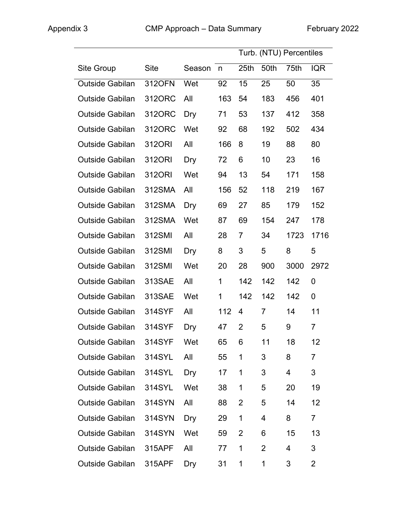|                        |             |            |     |                |                | Turb. (NTU) Percentiles |                |
|------------------------|-------------|------------|-----|----------------|----------------|-------------------------|----------------|
| Site Group             | <b>Site</b> | Season     | n   | 25th           | 50th           | 75th                    | <b>IQR</b>     |
| <b>Outside Gabilan</b> | 312OFN      | Wet        | 92  | 15             | 25             | 50                      | 35             |
| <b>Outside Gabilan</b> | 3120RC      | All        | 163 | 54             | 183            | 456                     | 401            |
| <b>Outside Gabilan</b> | 312ORC      | Dry        | 71  | 53             | 137            | 412                     | 358            |
| <b>Outside Gabilan</b> | 312ORC      | Wet        | 92  | 68             | 192            | 502                     | 434            |
| <b>Outside Gabilan</b> | 312ORI      | All        | 166 | 8              | 19             | 88                      | 80             |
| <b>Outside Gabilan</b> | 3120RI      | Dry        | 72  | 6              | 10             | 23                      | 16             |
| <b>Outside Gabilan</b> | 3120RI      | Wet        | 94  | 13             | 54             | 171                     | 158            |
| <b>Outside Gabilan</b> | 312SMA      | All        | 156 | 52             | 118            | 219                     | 167            |
| <b>Outside Gabilan</b> | 312SMA      | <b>Dry</b> | 69  | 27             | 85             | 179                     | 152            |
| <b>Outside Gabilan</b> | 312SMA      | Wet        | 87  | 69             | 154            | 247                     | 178            |
| <b>Outside Gabilan</b> | 312SMI      | All        | 28  | $\overline{7}$ | 34             | 1723                    | 1716           |
| <b>Outside Gabilan</b> | 312SMI      | Dry        | 8   | 3              | 5              | 8                       | 5              |
| <b>Outside Gabilan</b> | 312SMI      | Wet        | 20  | 28             | 900            | 3000                    | 2972           |
| <b>Outside Gabilan</b> | 313SAE      | All        | 1   | 142            | 142            | 142                     | 0              |
| <b>Outside Gabilan</b> | 313SAE      | Wet        | 1   | 142            | 142            | 142                     | 0              |
| <b>Outside Gabilan</b> | 314SYF      | All        | 112 | 4              | $\overline{7}$ | 14                      | 11             |
| <b>Outside Gabilan</b> | 314SYF      | Dry        | 47  | 2              | 5              | 9                       | $\overline{7}$ |
| Outside Gabilan 314SYF |             | Wet        | 65  | 6              | 11             | 18                      | 12             |
| <b>Outside Gabilan</b> | 314SYL      | All        | 55  | 1              | 3              | 8                       | 7              |
| <b>Outside Gabilan</b> | 314SYL      | Dry        | 17  | 1              | 3              | 4                       | 3              |
| <b>Outside Gabilan</b> | 314SYL      | Wet        | 38  | 1              | 5              | 20                      | 19             |
| <b>Outside Gabilan</b> | 314SYN      | All        | 88  | 2              | 5              | 14                      | 12             |
| <b>Outside Gabilan</b> | 314SYN      | Dry        | 29  | 1              | 4              | 8                       | $\overline{7}$ |
| <b>Outside Gabilan</b> | 314SYN      | Wet        | 59  | 2              | 6              | 15                      | 13             |
| <b>Outside Gabilan</b> | 315APF      | All        | 77  | 1              | $\overline{2}$ | 4                       | 3              |
| <b>Outside Gabilan</b> | 315APF      | Dry        | 31  | 1              | 1              | 3                       | $\overline{2}$ |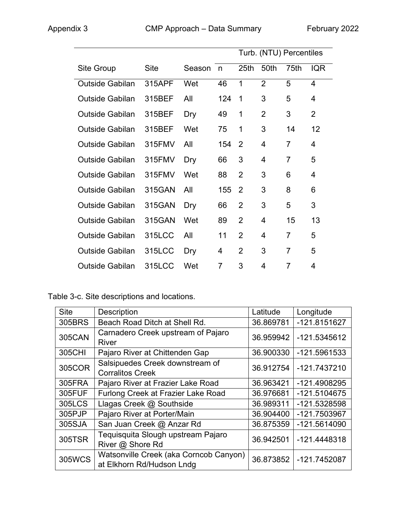|                        |             |        |     | Turb. (NTU) Percentiles |                |                |                |
|------------------------|-------------|--------|-----|-------------------------|----------------|----------------|----------------|
| Site Group             | <b>Site</b> | Season | n   | 25 <sub>th</sub>        | 50th           | 75th           | <b>IQR</b>     |
| <b>Outside Gabilan</b> | 315APF      | Wet    | 46  | 1                       | $\overline{2}$ | 5              | $\overline{4}$ |
| <b>Outside Gabilan</b> | 315BEF      | All    | 124 | $\mathbf 1$             | 3              | 5              | 4              |
| <b>Outside Gabilan</b> | 315BEF      | Dry    | 49  | 1                       | $\overline{2}$ | 3              | $\overline{2}$ |
| <b>Outside Gabilan</b> | 315BEF      | Wet    | 75  | 1                       | 3              | 14             | 12             |
| <b>Outside Gabilan</b> | 315FMV      | All    | 154 | 2                       | 4              | $\overline{7}$ | 4              |
| <b>Outside Gabilan</b> | 315FMV      | Dry    | 66  | 3                       | 4              | $\overline{7}$ | 5              |
| <b>Outside Gabilan</b> | 315FMV      | Wet    | 88  | $\overline{2}$          | 3              | 6              | 4              |
| <b>Outside Gabilan</b> | 315GAN      | All    | 155 | 2                       | 3              | 8              | 6              |
| <b>Outside Gabilan</b> | 315GAN      | Dry    | 66  | $\overline{2}$          | 3              | 5              | 3              |
| <b>Outside Gabilan</b> | 315GAN      | Wet    | 89  | $\overline{2}$          | 4              | 15             | 13             |
| <b>Outside Gabilan</b> | 315LCC      | All    | 11  | $\overline{2}$          | 4              | $\overline{7}$ | 5              |
| <b>Outside Gabilan</b> | 315LCC      | Dry    | 4   | $\overline{2}$          | 3              | $\overline{7}$ | 5              |
| Outside Gabilan        | 315LCC      | Wet    | 7   | 3                       | 4              | $\overline{7}$ | 4              |

Table 3-c. Site descriptions and locations.

| <b>Site</b>   | <b>Description</b>                                                  | Latitude  | Longitude    |
|---------------|---------------------------------------------------------------------|-----------|--------------|
| 305BRS        | Beach Road Ditch at Shell Rd.                                       | 36.869781 | -121.8151627 |
| <b>305CAN</b> | Carnadero Creek upstream of Pajaro<br><b>River</b>                  | 36.959942 | -121.5345612 |
| 305CHI        | Pajaro River at Chittenden Gap                                      | 36.900330 | -121.5961533 |
| 305COR        | Salsipuedes Creek downstream of<br><b>Corralitos Creek</b>          | 36.912754 | -121.7437210 |
| 305FRA        | Pajaro River at Frazier Lake Road                                   | 36.963421 | -121.4908295 |
| 305FUF        | Furlong Creek at Frazier Lake Road                                  | 36.976681 | -121.5104675 |
| 305LCS        | Llagas Creek @ Southside                                            | 36.989311 | -121.5328598 |
| 305PJP        | Pajaro River at Porter/Main                                         | 36.904400 | -121.7503967 |
| 305SJA        | San Juan Creek @ Anzar Rd                                           | 36.875359 | -121.5614090 |
| 305TSR        | Tequisquita Slough upstream Pajaro<br>River @ Shore Rd              | 36.942501 | -121.4448318 |
| <b>305WCS</b> | Watsonville Creek (aka Corncob Canyon)<br>at Elkhorn Rd/Hudson Lndg | 36.873852 | -121.7452087 |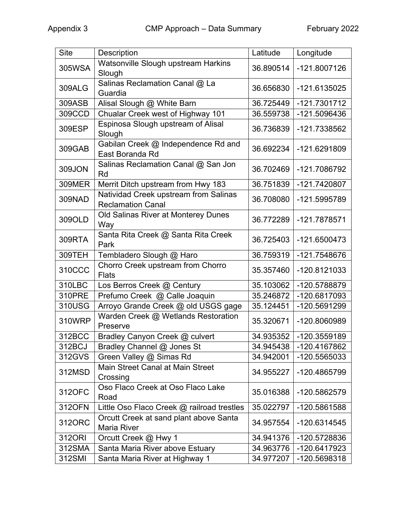| <b>Site</b>   | Description                                                       | Latitude  | Longitude    |
|---------------|-------------------------------------------------------------------|-----------|--------------|
| 305WSA        | Watsonville Slough upstream Harkins<br>Slough                     | 36.890514 | -121.8007126 |
| <b>309ALG</b> | Salinas Reclamation Canal @ La<br>Guardia                         | 36.656830 | -121.6135025 |
| 309ASB        | Alisal Slough @ White Barn                                        | 36.725449 | -121.7301712 |
| 309CCD        | Chualar Creek west of Highway 101                                 | 36.559738 | -121.5096436 |
| 309ESP        | Espinosa Slough upstream of Alisal<br>Slough                      | 36.736839 | -121.7338562 |
| 309GAB        | Gabilan Creek @ Independence Rd and<br>East Boranda Rd            | 36.692234 | -121.6291809 |
| 309JON        | Salinas Reclamation Canal @ San Jon<br>Rd                         | 36.702469 | -121.7086792 |
| <b>309MER</b> | Merrit Ditch upstream from Hwy 183                                | 36.751839 | -121.7420807 |
| 309NAD        | Natividad Creek upstream from Salinas<br><b>Reclamation Canal</b> | 36.708080 | -121.5995789 |
| 309OLD        | Old Salinas River at Monterey Dunes<br>Way                        | 36.772289 | -121.7878571 |
| 309RTA        | Santa Rita Creek @ Santa Rita Creek<br>Park                       | 36.725403 | -121.6500473 |
| 309TEH        | Tembladero Slough @ Haro                                          | 36.759319 | -121.7548676 |
| 310CCC        | Chorro Creek upstream from Chorro<br><b>Flats</b>                 | 35.357460 | -120.8121033 |
| 310LBC        | Los Berros Creek @ Century                                        | 35.103062 | -120.5788879 |
| 310PRE        | Prefumo Creek @ Calle Joaquin                                     | 35.246872 | -120.6817093 |
| 310USG        | Arroyo Grande Creek @ old USGS gage                               | 35.124451 | -120.5691299 |
| 310WRP        | Warden Creek @ Wetlands Restoration<br>Preserve                   | 35.320671 | -120.8060989 |
| 312BCC        | Bradley Canyon Creek @ culvert                                    | 34.935352 | -120.3559189 |
| 312BCJ        | Bradley Channel @ Jones St                                        | 34.945438 | -120.4167862 |
| 312GVS        | Green Valley @ Simas Rd                                           | 34.942001 | -120.5565033 |
| 312MSD        | <b>Main Street Canal at Main Street</b><br>Crossing               | 34.955227 | -120.4865799 |
| 312OFC        | Oso Flaco Creek at Oso Flaco Lake<br>Road                         | 35.016388 | -120.5862579 |
| 312OFN        | Little Oso Flaco Creek @ railroad trestles                        | 35.022797 | -120.5861588 |
| 312ORC        | Orcutt Creek at sand plant above Santa<br><b>Maria River</b>      | 34.957554 | -120.6314545 |
| 312ORI        | Orcutt Creek @ Hwy 1                                              | 34.941376 | -120.5728836 |
| 312SMA        | Santa Maria River above Estuary                                   | 34.963776 | -120.6417923 |
| 312SMI        | Santa Maria River at Highway 1                                    | 34.977207 | -120.5698318 |